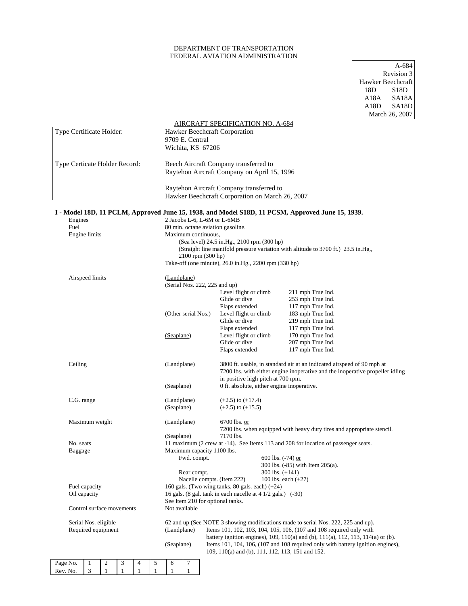# DEPARTMENT OF TRANSPORTATION FEDERAL AVIATION ADMINISTRATION

A-684 Revision 3 Hawker Beechcraft 18D S18D A18A SA18A A18D SA18D March 26, 2007

|                                            |                 |                  |              |                                                                                                                  |                                                                                      |                                                                                                                                                                                                                   |              |                                                                                                                                                                                               |                                                                                                                                                                                                                                              |                                                                                                         | <b>Natch</b> 20, 200 |
|--------------------------------------------|-----------------|------------------|--------------|------------------------------------------------------------------------------------------------------------------|--------------------------------------------------------------------------------------|-------------------------------------------------------------------------------------------------------------------------------------------------------------------------------------------------------------------|--------------|-----------------------------------------------------------------------------------------------------------------------------------------------------------------------------------------------|----------------------------------------------------------------------------------------------------------------------------------------------------------------------------------------------------------------------------------------------|---------------------------------------------------------------------------------------------------------|----------------------|
| Type Certificate Holder:                   |                 |                  |              | <b>AIRCRAFT SPECIFICATION NO. A-684</b><br>Hawker Beechcraft Corporation<br>9709 E. Central<br>Wichita, KS 67206 |                                                                                      |                                                                                                                                                                                                                   |              |                                                                                                                                                                                               |                                                                                                                                                                                                                                              |                                                                                                         |                      |
| Type Certicate Holder Record:              |                 |                  |              |                                                                                                                  | Beech Aircraft Company transferred to<br>Raytehon Aircraft Company on April 15, 1996 |                                                                                                                                                                                                                   |              |                                                                                                                                                                                               |                                                                                                                                                                                                                                              |                                                                                                         |                      |
|                                            |                 |                  |              |                                                                                                                  |                                                                                      |                                                                                                                                                                                                                   |              |                                                                                                                                                                                               | Raytehon Aircraft Company transferred to<br>Hawker Beechcraft Corporation on March 26, 2007                                                                                                                                                  |                                                                                                         |                      |
|                                            |                 |                  |              |                                                                                                                  |                                                                                      |                                                                                                                                                                                                                   |              |                                                                                                                                                                                               |                                                                                                                                                                                                                                              | <u>I - Model 18D, 11 PCLM, Approved June 15, 1938, and Model S18D, 11 PCSM, Approved June 15, 1939.</u> |                      |
| Engines                                    |                 |                  |              |                                                                                                                  |                                                                                      |                                                                                                                                                                                                                   |              |                                                                                                                                                                                               | 2 Jacobs L-6, L-6M or L-6MB                                                                                                                                                                                                                  |                                                                                                         |                      |
| Fuel                                       | Engine limits   |                  |              |                                                                                                                  |                                                                                      | 80 min. octane aviation gasoline.<br>Maximum continuous,<br>(Sea level) 24.5 in.Hg., 2100 rpm (300 hp)<br>(Straight line manifold pressure variation with altitude to 3700 ft.) 23.5 in.Hg.,<br>2100 rpm (300 hp) |              |                                                                                                                                                                                               |                                                                                                                                                                                                                                              |                                                                                                         |                      |
|                                            |                 |                  |              |                                                                                                                  |                                                                                      |                                                                                                                                                                                                                   |              |                                                                                                                                                                                               | Take-off (one minute), 26.0 in.Hg., 2200 rpm (330 hp)                                                                                                                                                                                        |                                                                                                         |                      |
|                                            | Airspeed limits |                  |              |                                                                                                                  |                                                                                      | (Landplane)<br>(Serial Nos. 222, 225 and up)                                                                                                                                                                      |              |                                                                                                                                                                                               |                                                                                                                                                                                                                                              |                                                                                                         |                      |
|                                            |                 |                  |              |                                                                                                                  |                                                                                      | (Other serial Nos.)                                                                                                                                                                                               |              |                                                                                                                                                                                               | Level flight or climb<br>Glide or dive<br>Flaps extended<br>Level flight or climb<br>Glide or dive                                                                                                                                           | 211 mph True Ind.<br>253 mph True Ind.<br>117 mph True Ind.<br>183 mph True Ind.<br>219 mph True Ind.   |                      |
|                                            |                 |                  |              |                                                                                                                  |                                                                                      | (Seaplane)                                                                                                                                                                                                        |              |                                                                                                                                                                                               | Flaps extended<br>Level flight or climb<br>Glide or dive<br>Flaps extended                                                                                                                                                                   | 117 mph True Ind.<br>170 mph True Ind.<br>207 mph True Ind.<br>117 mph True Ind.                        |                      |
| Ceiling                                    |                 |                  |              |                                                                                                                  | (Landplane)                                                                          |                                                                                                                                                                                                                   |              | 3800 ft. usable, in standard air at an indicated airspeed of 90 mph at<br>7200 lbs. with either engine inoperative and the inoperative propeller idling<br>in positive high pitch at 700 rpm. |                                                                                                                                                                                                                                              |                                                                                                         |                      |
|                                            |                 |                  |              |                                                                                                                  | (Seaplane)<br>(Landplane)<br>(Seaplane)                                              |                                                                                                                                                                                                                   |              | 0 ft. absolute, either engine inoperative.                                                                                                                                                    |                                                                                                                                                                                                                                              |                                                                                                         |                      |
| C.G. range<br>Maximum weight               |                 |                  |              |                                                                                                                  |                                                                                      |                                                                                                                                                                                                                   |              |                                                                                                                                                                                               | $(+2.5)$ to $(+17.4)$<br>$(+2.5)$ to $(+15.5)$                                                                                                                                                                                               |                                                                                                         |                      |
|                                            |                 |                  |              |                                                                                                                  |                                                                                      | (Landplane)                                                                                                                                                                                                       |              | 6700 lbs. or<br>7200 lbs. when equipped with heavy duty tires and appropriate stencil.                                                                                                        |                                                                                                                                                                                                                                              |                                                                                                         |                      |
| No. seats<br>Baggage                       |                 |                  |              |                                                                                                                  |                                                                                      | (Seaplane)<br>7170 lbs.<br>11 maximum (2 crew at -14). See Items 113 and 208 for location of passenger seats.<br>Maximum capacity 1100 lbs.<br>Fwd. compt.<br>600 lbs. $(-74)$ or                                 |              |                                                                                                                                                                                               |                                                                                                                                                                                                                                              |                                                                                                         |                      |
| Fuel capacity<br>Oil capacity              |                 |                  |              |                                                                                                                  |                                                                                      |                                                                                                                                                                                                                   | Rear compt.  |                                                                                                                                                                                               | 300 lbs. (-85) with Item 205(a).<br>300 lbs. $(+141)$<br>Nacelle compts. (Item 222)<br>100 lbs. each $(+27)$                                                                                                                                 |                                                                                                         |                      |
|                                            |                 |                  |              |                                                                                                                  |                                                                                      | 160 gals. (Two wing tanks, 80 gals. each) (+24)<br>16 gals. (8 gal. tank in each nacelle at $4\frac{1}{2}$ gals.) (-30)                                                                                           |              |                                                                                                                                                                                               |                                                                                                                                                                                                                                              |                                                                                                         |                      |
| Control surface movements                  |                 |                  |              |                                                                                                                  |                                                                                      | See Item 210 for optional tanks.<br>Not available                                                                                                                                                                 |              |                                                                                                                                                                                               |                                                                                                                                                                                                                                              |                                                                                                         |                      |
| Serial Nos. eligible<br>Required equipment |                 |                  |              |                                                                                                                  |                                                                                      | (Landplane)                                                                                                                                                                                                       |              |                                                                                                                                                                                               | 62 and up (See NOTE 3 showing modifications made to serial Nos. 222, 225 and up).<br>Items 101, 102, 103, 104, 105, 106, (107 and 108 required only with<br>battery ignition engines), 109, 110(a) and (b), 111(a), 112, 113, 114(a) or (b). |                                                                                                         |                      |
|                                            |                 |                  |              |                                                                                                                  | (Seaplane)                                                                           |                                                                                                                                                                                                                   |              | Items 101, 104, 106, (107 and 108 required only with battery ignition engines),<br>109, 110(a) and (b), 111, 112, 113, 151 and 152.                                                           |                                                                                                                                                                                                                                              |                                                                                                         |                      |
| Page No.                                   | $\mathbf{1}$    | $\boldsymbol{2}$ | 3            | 4                                                                                                                | 5                                                                                    | 6                                                                                                                                                                                                                 | $\tau$       |                                                                                                                                                                                               |                                                                                                                                                                                                                                              |                                                                                                         |                      |
| Rev. No.                                   | $\mathfrak{Z}$  | $\mathbf{1}$     | $\mathbf{1}$ | $\mathbf{1}$                                                                                                     | $\mathbf{1}$                                                                         | $\mathbf{1}$                                                                                                                                                                                                      | $\mathbf{1}$ |                                                                                                                                                                                               |                                                                                                                                                                                                                                              |                                                                                                         |                      |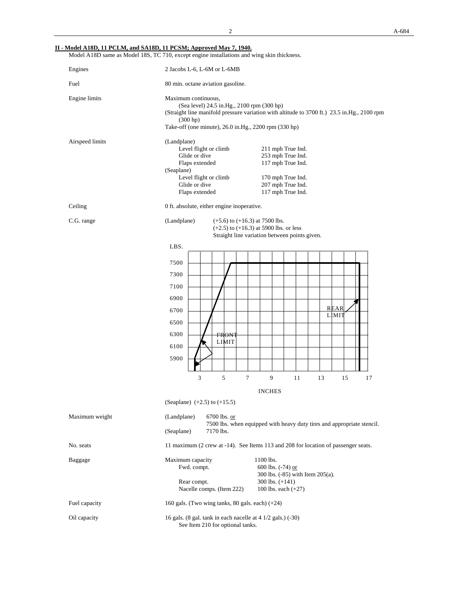### **II - Model A18D, 11 PCLM, and SA18D, 11 PCSM; Approved May 7, 1940.**

Model A18D same as Model 18S, TC 710, except engine installations and wing skin thickness.

| Engines         | 2 Jacobs L-6, L-6M or L-6MB                                                                                                                                                                                                                                                     |  |  |  |  |  |  |
|-----------------|---------------------------------------------------------------------------------------------------------------------------------------------------------------------------------------------------------------------------------------------------------------------------------|--|--|--|--|--|--|
| Fuel            | 80 min. octane aviation gasoline.                                                                                                                                                                                                                                               |  |  |  |  |  |  |
| Engine limits   | Maximum continuous,<br>(Sea level) 24.5 in.Hg., 2100 rpm (300 hp)<br>(Straight line manifold pressure variation with altitude to 3700 ft.) 23.5 in Hg., 2100 rpm<br>(300 hp)<br>Take-off (one minute), 26.0 in.Hg., 2200 rpm (330 hp)                                           |  |  |  |  |  |  |
| Airspeed limits | (Landplane)<br>Level flight or climb<br>211 mph True Ind.<br>Glide or dive<br>253 mph True Ind.<br>117 mph True Ind.<br>Flaps extended<br>(Seaplane)<br>Level flight or climb<br>170 mph True Ind.<br>Glide or dive<br>207 mph True Ind.<br>117 mph True Ind.<br>Flaps extended |  |  |  |  |  |  |
| Ceiling         | 0 ft. absolute, either engine inoperative.                                                                                                                                                                                                                                      |  |  |  |  |  |  |
| C.G. range      | (Landplane)<br>$(+5.6)$ to $(+16.3)$ at 7500 lbs.<br>$(+2.5)$ to $(+16.3)$ at 5900 lbs. or less<br>Straight line variation between points given.                                                                                                                                |  |  |  |  |  |  |
|                 | LBS.<br>7500<br>7300<br>7100<br>6900<br><b>REAR</b><br>6700<br>LIMIT<br>6500<br>6300<br><b>FRONT</b><br><b>LIMIT</b><br>6100<br>5900<br>3<br>5<br>9<br>7<br>11<br>13<br>15<br>17<br><b>INCHES</b><br>(Seaplane) $(+2.5)$ to $(+15.5)$                                           |  |  |  |  |  |  |
| Maximum weight  | (Landplane)<br>6700 lbs. or<br>7500 lbs. when equipped with heavy duty tires and appropriate stencil.<br>(Seaplane)<br>7170 lbs.                                                                                                                                                |  |  |  |  |  |  |
| No. seats       | 11 maximum (2 crew at -14). See Items 113 and 208 for location of passenger seats.                                                                                                                                                                                              |  |  |  |  |  |  |
| Baggage         | 1100 lbs.<br>Maximum capacity<br>Fwd. compt.<br>600 lbs. (-74) or<br>300 lbs. (-85) with Item 205(a).<br>Rear compt.<br>300 lbs. (+141)<br>Nacelle comps. (Item 222)<br>100 lbs. each $(+27)$                                                                                   |  |  |  |  |  |  |
| Fuel capacity   | 160 gals. (Two wing tanks, 80 gals. each) $(+24)$                                                                                                                                                                                                                               |  |  |  |  |  |  |
| Oil capacity    | 16 gals. (8 gal. tank in each nacelle at 4 1/2 gals.) (-30)<br>See Item 210 for optional tanks.                                                                                                                                                                                 |  |  |  |  |  |  |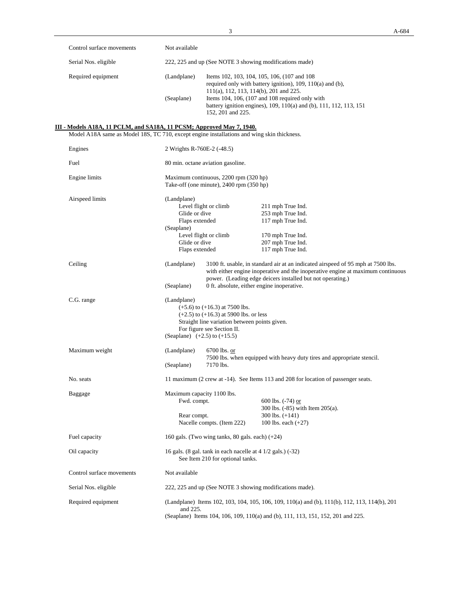|                      | Control surface movements                                                                                                                                           | Not available                                                                                             |                                                                                                     |                                                                                                                                                                                                                                   |  |  |  |  |
|----------------------|---------------------------------------------------------------------------------------------------------------------------------------------------------------------|-----------------------------------------------------------------------------------------------------------|-----------------------------------------------------------------------------------------------------|-----------------------------------------------------------------------------------------------------------------------------------------------------------------------------------------------------------------------------------|--|--|--|--|
| Serial Nos. eligible |                                                                                                                                                                     | 222, 225 and up (See NOTE 3 showing modifications made)                                                   |                                                                                                     |                                                                                                                                                                                                                                   |  |  |  |  |
|                      | Required equipment                                                                                                                                                  | (Landplane)                                                                                               |                                                                                                     | Items 102, 103, 104, 105, 106, (107 and 108)<br>required only with battery ignition), 109, 110(a) and (b),                                                                                                                        |  |  |  |  |
|                      |                                                                                                                                                                     | (Seaplane)                                                                                                | 111(a), 112, 113, 114(b), 201 and 225.<br>152, 201 and 225.                                         | Items 104, 106, (107 and 108 required only with<br>battery ignition engines), 109, 110(a) and (b), 111, 112, 113, 151                                                                                                             |  |  |  |  |
|                      | III - Models A18A, 11 PCLM, and SA18A, 11 PCSM; Approved May 7, 1940.<br>Model A18A same as Model 18S, TC 710, except engine installations and wing skin thickness. |                                                                                                           |                                                                                                     |                                                                                                                                                                                                                                   |  |  |  |  |
|                      | Engines                                                                                                                                                             | 2 Wrights R-760E-2 (-48.5)                                                                                |                                                                                                     |                                                                                                                                                                                                                                   |  |  |  |  |
|                      | Fuel                                                                                                                                                                |                                                                                                           | 80 min. octane aviation gasoline.                                                                   |                                                                                                                                                                                                                                   |  |  |  |  |
|                      | Engine limits                                                                                                                                                       | Maximum continuous, 2200 rpm (320 hp)<br>Take-off (one minute), 2400 rpm (350 hp)                         |                                                                                                     |                                                                                                                                                                                                                                   |  |  |  |  |
|                      | Airspeed limits                                                                                                                                                     | (Landplane)                                                                                               |                                                                                                     |                                                                                                                                                                                                                                   |  |  |  |  |
|                      |                                                                                                                                                                     | Glide or dive                                                                                             | Level flight or climb                                                                               | 211 mph True Ind.                                                                                                                                                                                                                 |  |  |  |  |
|                      |                                                                                                                                                                     | Flaps extended                                                                                            |                                                                                                     | 253 mph True Ind.<br>117 mph True Ind.                                                                                                                                                                                            |  |  |  |  |
|                      |                                                                                                                                                                     | (Seaplane)                                                                                                |                                                                                                     |                                                                                                                                                                                                                                   |  |  |  |  |
|                      |                                                                                                                                                                     | Level flight or climb                                                                                     |                                                                                                     | 170 mph True Ind.                                                                                                                                                                                                                 |  |  |  |  |
|                      |                                                                                                                                                                     | Glide or dive<br>Flaps extended                                                                           |                                                                                                     | 207 mph True Ind.<br>117 mph True Ind.                                                                                                                                                                                            |  |  |  |  |
|                      |                                                                                                                                                                     |                                                                                                           |                                                                                                     |                                                                                                                                                                                                                                   |  |  |  |  |
|                      | Ceiling                                                                                                                                                             | (Landplane)                                                                                               |                                                                                                     | 3100 ft. usable, in standard air at an indicated airspeed of 95 mph at 7500 lbs.<br>with either engine inoperative and the inoperative engine at maximum continuous<br>power. (Leading edge deicers installed but not operating.) |  |  |  |  |
|                      |                                                                                                                                                                     | 0 ft. absolute, either engine inoperative.<br>(Seaplane)                                                  |                                                                                                     |                                                                                                                                                                                                                                   |  |  |  |  |
|                      | C.G. range                                                                                                                                                          | (Landplane)<br>$(+5.6)$ to $(+16.3)$ at 7500 lbs.                                                         |                                                                                                     |                                                                                                                                                                                                                                   |  |  |  |  |
|                      |                                                                                                                                                                     | $(+2.5)$ to $(+16.3)$ at 5900 lbs. or less<br>Straight line variation between points given.               |                                                                                                     |                                                                                                                                                                                                                                   |  |  |  |  |
|                      |                                                                                                                                                                     | For figure see Section II.<br>(Seaplane) $(+2.5)$ to $(+15.5)$                                            |                                                                                                     |                                                                                                                                                                                                                                   |  |  |  |  |
|                      |                                                                                                                                                                     |                                                                                                           |                                                                                                     |                                                                                                                                                                                                                                   |  |  |  |  |
|                      | Maximum weight                                                                                                                                                      | (Landplane)                                                                                               | 6700 lbs. or<br>7500 lbs. when equipped with heavy duty tires and appropriate stencil.<br>7170 lbs. |                                                                                                                                                                                                                                   |  |  |  |  |
|                      |                                                                                                                                                                     | (Seaplane)                                                                                                |                                                                                                     |                                                                                                                                                                                                                                   |  |  |  |  |
|                      | No. seats                                                                                                                                                           |                                                                                                           |                                                                                                     | 11 maximum (2 crew at -14). See Items 113 and 208 for location of passenger seats.                                                                                                                                                |  |  |  |  |
|                      | Baggage                                                                                                                                                             | Maximum capacity 1100 lbs.<br>Fwd. compt.                                                                 |                                                                                                     | $600$ lbs. $(-74)$ or                                                                                                                                                                                                             |  |  |  |  |
|                      |                                                                                                                                                                     | Rear compt.                                                                                               |                                                                                                     | 300 lbs. $(-85)$ with Item $205(a)$ .<br>300 lbs. $(+141)$                                                                                                                                                                        |  |  |  |  |
|                      |                                                                                                                                                                     |                                                                                                           | Nacelle compts. (Item 222)                                                                          | 100 lbs. each $(+27)$                                                                                                                                                                                                             |  |  |  |  |
|                      | Fuel capacity                                                                                                                                                       | 160 gals. (Two wing tanks, 80 gals. each) $(+24)$                                                         |                                                                                                     |                                                                                                                                                                                                                                   |  |  |  |  |
|                      | Oil capacity                                                                                                                                                        | 16 gals. (8 gal. tank in each nacelle at $4\frac{1}{2}$ gals.) (-32)<br>See Item 210 for optional tanks.  |                                                                                                     |                                                                                                                                                                                                                                   |  |  |  |  |
|                      | Control surface movements                                                                                                                                           | Not available                                                                                             |                                                                                                     |                                                                                                                                                                                                                                   |  |  |  |  |
|                      | Serial Nos. eligible                                                                                                                                                | 222, 225 and up (See NOTE 3 showing modifications made).                                                  |                                                                                                     |                                                                                                                                                                                                                                   |  |  |  |  |
|                      | Required equipment                                                                                                                                                  | (Landplane) Items 102, 103, 104, 105, 106, 109, 110(a) and (b), 111(b), 112, 113, 114(b), 201<br>and 225. |                                                                                                     |                                                                                                                                                                                                                                   |  |  |  |  |
|                      |                                                                                                                                                                     | (Seaplane) Items 104, 106, 109, 110(a) and (b), 111, 113, 151, 152, 201 and 225.                          |                                                                                                     |                                                                                                                                                                                                                                   |  |  |  |  |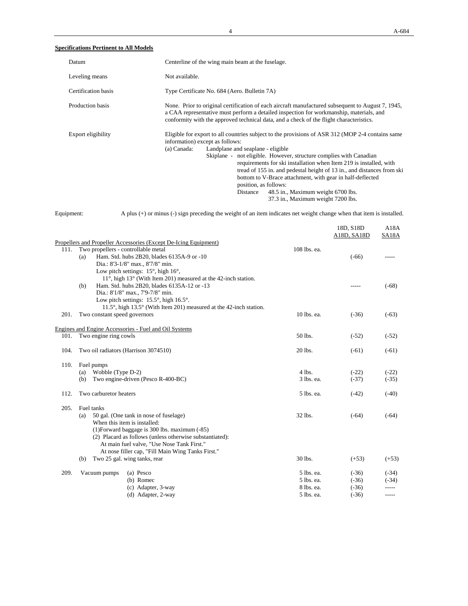## **Specifications Pertinent to All Models**

| Datum               | Centerline of the wing main beam at the fuselage.                                                                                                                                                                                                                                                                                                                                                                                                                                                                                                                                           |
|---------------------|---------------------------------------------------------------------------------------------------------------------------------------------------------------------------------------------------------------------------------------------------------------------------------------------------------------------------------------------------------------------------------------------------------------------------------------------------------------------------------------------------------------------------------------------------------------------------------------------|
| Leveling means      | Not available.                                                                                                                                                                                                                                                                                                                                                                                                                                                                                                                                                                              |
| Certification basis | Type Certificate No. 684 (Aero. Bulletin 7A)                                                                                                                                                                                                                                                                                                                                                                                                                                                                                                                                                |
| Production basis    | None. Prior to original certification of each aircraft manufactured subsequent to August 7, 1945,<br>a CAA representative must perform a detailed inspection for workmanship, materials, and<br>conformity with the approved technical data, and a check of the flight characteristics.                                                                                                                                                                                                                                                                                                     |
| Export eligibility  | Eligible for export to all countries subject to the provisions of ASR 312 (MOP 2-4 contains same<br>information) except as follows:<br>(a) Canada:<br>Landplane and seaplane - eligible<br>Skiplane - not eligible. However, structure complies with Canadian<br>requirements for ski installation when Item 219 is installed, with<br>tread of 155 in. and pedestal height of 13 in., and distances from ski<br>bottom to V-Brace attachment, with gear in half-deflected<br>position, as follows:<br>48.5 in., Maximum weight 6700 lbs.<br>Distance<br>37.3 in., Maximum weight 7200 lbs. |



Equipment: A plus (+) or minus (-) sign preceding the weight of an item indicates net weight change when that item is installed.

|      |                                                                                   |              | 18D, S18D<br>A18D, SA18D | A18A<br>SA18A |
|------|-----------------------------------------------------------------------------------|--------------|--------------------------|---------------|
|      | Propellers and Propeller Accessories (Except De-Icing Equipment)                  |              |                          |               |
|      | 111. Two propellers - controllable metal                                          | 108 lbs. ea. |                          |               |
|      | Ham. Std. hubs 2B20, blades 6135A-9 or -10<br>(a)                                 |              | $(-66)$                  |               |
|      | Dia.: 8'3-1/8" max., 8'7/8" min.                                                  |              |                          |               |
|      | Low pitch settings: $15^\circ$ , high $16^\circ$ ,                                |              |                          |               |
|      | $11^{\circ}$ , high $13^{\circ}$ (With Item 201) measured at the 42-inch station. |              |                          |               |
|      | Ham. Std. hubs 2B20, blades 6135A-12 or -13<br>(b)                                |              |                          | $(-68)$       |
|      | Dia.: 8'1/8" max., 7'9-7/8" min.                                                  |              |                          |               |
|      | Low pitch settings: $15.5^{\circ}$ , high $16.5^{\circ}$ .                        |              |                          |               |
|      | 11.5°, high 13.5° (With Item 201) measured at the 42-inch station.                |              |                          |               |
| 201. | Two constant speed governors                                                      | 10 lbs. ea.  | $(-36)$                  | $(-63)$       |
|      | Engines and Engine Accessories - Fuel and Oil Systems                             |              |                          |               |
| 101. | Two engine ring cowls                                                             | 50 lbs.      | $(-52)$                  | $(-52)$       |
| 104. | Two oil radiators (Harrison 3074510)                                              | 20 lbs.      | $(-61)$                  | $(-61)$       |
| 110. | Fuel pumps                                                                        |              |                          |               |
|      | Wobble (Type D-2)<br>(a)                                                          | $4$ lbs.     | $(-22)$                  | $(-22)$       |
|      | Two engine-driven (Pesco R-400-BC)<br>(b)                                         | 3 lbs. ea.   | $(-37)$                  | $(-35)$       |
| 112. | Two carburetor heaters                                                            | 5 lbs. ea.   | $(-42)$                  | $(-40)$       |
| 205. | Fuel tanks                                                                        |              |                          |               |
|      | 50 gal. (One tank in nose of fuselage)<br>(a)                                     | 32 lbs.      | $(-64)$                  | $(-64)$       |
|      | When this item is installed:                                                      |              |                          |               |
|      | (1) Forward baggage is 300 lbs. maximum (-85)                                     |              |                          |               |
|      | (2) Placard as follows (unless otherwise substantiated):                          |              |                          |               |
|      | At main fuel valve, "Use Nose Tank First."                                        |              |                          |               |
|      | At nose filler cap, "Fill Main Wing Tanks First."                                 |              |                          |               |
|      | Two 25 gal. wing tanks, rear<br>(b)                                               | 30 lbs.      | $(+53)$                  | $(+53)$       |
| 209. | (a) Pesco<br>Vacuum pumps                                                         | 5 lbs. ea.   | $(-36)$                  | $(-34)$       |
|      | (b) Romec                                                                         | 5 lbs. ea.   | $(-36)$                  | $(-34)$       |
|      | (c) Adapter, 3-way                                                                | 8 lbs. ea.   | $(-36)$                  |               |
|      | (d) Adapter, 2-way                                                                | 5 lbs. ea.   | $(-36)$                  | -----         |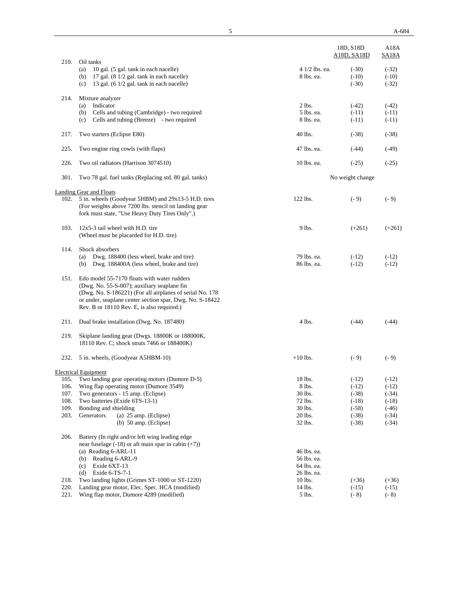|              |                                                                                                                                                                                                                                                                  |                                                          | A18D, SA18D                   | <b>SA18A</b>                  |
|--------------|------------------------------------------------------------------------------------------------------------------------------------------------------------------------------------------------------------------------------------------------------------------|----------------------------------------------------------|-------------------------------|-------------------------------|
| 210.         | Oil tanks<br>10 gal. (5 gal. tank in each nacelle)<br>(a)<br>17 gal. (8 1/2 gal. tank in each nacelle)<br>(b)<br>13 gal. (6 1/2 gal. tank in each nacelle)<br>(c)                                                                                                | 4 1/2 lbs. ea.<br>8 lbs. ea.                             | $(-30)$<br>$(-10)$<br>$(-30)$ | $(-32)$<br>$(-10)$<br>$(-32)$ |
| 214.         | Mixture analyzer<br>Indicator<br>(a)<br>Cells and tubing (Cambridge) - two required<br>(b)<br>Cells and tubing (Breeze) - two required<br>(c)                                                                                                                    | $2$ lbs.<br>5 lbs. ea.<br>8 lbs. ea.                     | $(-42)$<br>$(-11)$<br>$(-11)$ | $(-42)$<br>$(-11)$<br>$(-11)$ |
| 217.         | Two starters (Eclipse E80)                                                                                                                                                                                                                                       | 40 lbs.                                                  | $(-38)$                       | $(-38)$                       |
| 225.         | Two engine ring cowls (with flaps)                                                                                                                                                                                                                               | 47 lbs. ea.                                              | $(-44)$                       | $(-49)$                       |
| 226.         | Two oil radiators (Harrison 3074510)                                                                                                                                                                                                                             | 10 lbs. ea.                                              | $(-25)$                       | $(-25)$                       |
| 301.         | Two 78 gal. fuel tanks (Replacing std. 80 gal. tanks)                                                                                                                                                                                                            |                                                          | No weight change              |                               |
| 102.         | <b>Landing Gear and Floats</b><br>5 in. wheels (Goodyear 5HBM) and 29x13-5 H.D. tires<br>(For weights above 7200 lbs. stencil on landing gear<br>fork must state, "Use Heavy Duty Tires Only".)                                                                  | 122 lbs.                                                 | $(-9)$                        | $(-9)$                        |
| 103.         | $12x5-3$ tail wheel with H.D. tire<br>(Wheel must be placarded for H.D. tire)                                                                                                                                                                                    | 9 lbs.                                                   | $(+261)$                      | $(+261)$                      |
| 114.         | Shock absorbers<br>Dwg. 188400 (less wheel, brake and tire)<br>(a)<br>(b) Dwg. 188400A (less wheel, brake and tire)                                                                                                                                              | 79 lbs. ea.<br>86 lbs. ea.                               | $(-12)$<br>$(-12)$            | $(-12)$<br>$(-12)$            |
| 151.         | Edo model 55-7170 floats with water rudders<br>(Dwg. No. 55-S-007); auxiliary seaplane fin<br>(Dwg. No. S-186221) (For all airplanes of serial No. 178<br>or under, seaplane center section spar, Dwg. No. S-18422<br>Rev. B or 18110 Rev. E, is also required.) |                                                          |                               |                               |
| 211.         | Dual brake installation (Dwg. No. 187480)                                                                                                                                                                                                                        | $4$ lbs.                                                 | $(-44)$                       | $(-44)$                       |
| 219.         | Skiplane landing gear (Dwgs. 18800K or 188000K,<br>18110 Rev. C; shock struts 7466 or 188400K)                                                                                                                                                                   |                                                          |                               |                               |
| 232.         | 5 in. wheels, (Goodyear A5HBM-10)                                                                                                                                                                                                                                | $+10$ lbs.                                               | $(-9)$                        | $(-9)$                        |
|              | <b>Electrical Equipment</b>                                                                                                                                                                                                                                      |                                                          |                               |                               |
| 105.         | Two landing gear operating motors (Dumore D-5)                                                                                                                                                                                                                   | 18 lbs.                                                  | $(-12)$                       | $(-12)$                       |
| 106.         | Wing flap operating motor (Dumore 3549)                                                                                                                                                                                                                          | 8 lbs.                                                   | $(-12)$                       | $(-12)$                       |
| 107.<br>108. | Two generators - 15 amp. (Eclipse)<br>Two batteries (Exide 6TS-13-1)                                                                                                                                                                                             | 30 lbs.<br>72 lbs.                                       | $(-38)$<br>$(-18)$            | $(-34)$<br>$(-18)$            |
| 109.         | Bonding and shielding                                                                                                                                                                                                                                            | 30 lbs.                                                  | $(-58)$                       | $(-46)$                       |
| 203.         | (a) 25 amp. (Eclipse)<br>Generators                                                                                                                                                                                                                              | 20 lbs.                                                  | $(-38)$                       | $(-34)$                       |
|              | (b) $50 \text{ amp.}$ (Eclipse)                                                                                                                                                                                                                                  | 32 lbs.                                                  | $(-38)$                       | $(-34)$                       |
| 206.         | Battery (In right and/or left wing leading edge<br>near fuselage $(-18)$ or aft main spar in cabin $(+7)$ )<br>(a) Reading 6-ARL-11<br>Reading 6-ARL-9<br>(b)<br>Exide 6XT-13<br>(c)<br>Exide 6-TS-7-1<br>(d)                                                    | 46 lbs. ea.<br>56 lbs. ea.<br>64 lbs. ea.<br>26 lbs. ea. |                               |                               |
| 218.         | Two landing lights (Grimes ST-1000 or ST-1220)                                                                                                                                                                                                                   | 10 lbs.                                                  | $(+36)$                       | $(+36)$                       |
| 220.         | Landing gear motor, Elec. Spec. HCA (modified)                                                                                                                                                                                                                   | 14 lbs.                                                  | $(-15)$                       | $(-15)$                       |
| 221.         | Wing flap motor, Dumore 4289 (modified)                                                                                                                                                                                                                          | 5 lbs.                                                   | $(-8)$                        | $(-8)$                        |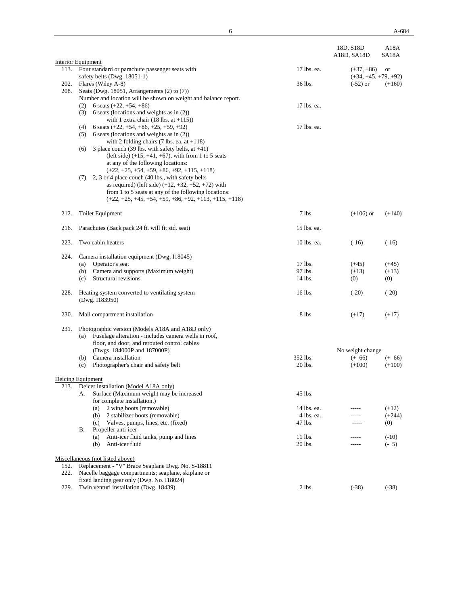|              | Interior Equipment                                                                                                                                                                                                                  |                    | 18D, S18D<br>A18D, SA18D               | A18A<br>SA18A     |
|--------------|-------------------------------------------------------------------------------------------------------------------------------------------------------------------------------------------------------------------------------------|--------------------|----------------------------------------|-------------------|
| 113.         | Four standard or parachute passenger seats with<br>safety belts (Dwg. 18051-1)                                                                                                                                                      | 17 lbs. ea.        | $(+37, +86)$<br>$(+34, +45, +79, +92)$ | or                |
| 202.<br>208. | Flares (Wiley A-8)<br>Seats (Dwg. 18051, Arrangements $(2)$ to $(7)$ )<br>Number and location will be shown on weight and balance report.                                                                                           | 36 lbs.            | $(-52)$ or                             | $(+160)$          |
|              | 6 seats $(+22, +54, +86)$<br>(2)<br>6 seats (locations and weights as in $(2)$ )<br>(3)<br>with 1 extra chair (18 lbs. at $+115$ ))                                                                                                 | 17 lbs. ea.        |                                        |                   |
|              | 6 seats $(+22, +54, +86, +25, +59, +92)$<br>(4)<br>6 seats (locations and weights as in (2))<br>(5)<br>with 2 folding chairs $(7 \text{ lbs.}$ ea. at $+118)$<br>3 place couch (39 lbs. with safety belts, at $+41$ )<br>(6)        | 17 lbs. ea.        |                                        |                   |
|              | (left side) $(+15, +41, +67)$ , with from 1 to 5 seats<br>at any of the following locations:<br>$(+22, +25, +54, +59, +86, +92, +115, +118)$                                                                                        |                    |                                        |                   |
|              | 2, 3 or 4 place couch (40 lbs., with safety belts<br>(7)<br>as required) (left side) $(+12, +32, +52, +72)$ with<br>from 1 to 5 seats at any of the following locations:<br>$(+22, +25, +45, +54, +59, +86, +92, +113, +115, +118)$ |                    |                                        |                   |
| 212.         | <b>Toilet Equipment</b>                                                                                                                                                                                                             | 7 lbs.             | $(+106)$ or                            | $(+140)$          |
| 216.         | Parachutes (Back pack 24 ft. will fit std. seat)                                                                                                                                                                                    | 15 lbs. ea.        |                                        |                   |
| 223.         | Two cabin heaters                                                                                                                                                                                                                   | 10 lbs. ea.        | $(-16)$                                | $(-16)$           |
| 224.         | Camera installation equipment (Dwg. I18045)<br>Operator's seat<br>(a)                                                                                                                                                               | 17 lbs.            | $(+45)$                                | $(+45)$           |
|              | Camera and supports (Maximum weight)<br>(b)                                                                                                                                                                                         | 97 lbs.            | $(+13)$                                | $(+13)$           |
|              | Structural revisions<br>(c)                                                                                                                                                                                                         | 14 lbs.            | (0)                                    | (0)               |
| 228.         | Heating system converted to ventilating system<br>(Dwg. I183950)                                                                                                                                                                    | $-16$ lbs.         | $(-20)$                                | $(-20)$           |
| 230.         | Mail compartment installation                                                                                                                                                                                                       | 8 lbs.             | $(+17)$                                | $(+17)$           |
| 231.         | Photographic version (Models A18A and A18D only)<br>Fuselage alteration - includes camera wells in roof,<br>(a)<br>floor, and door, and rerouted control cables                                                                     |                    |                                        |                   |
|              | (Dwgs. 184000P and 187000P)                                                                                                                                                                                                         |                    | No weight change                       |                   |
|              | (b) Camera installation                                                                                                                                                                                                             | 352 lbs.           | $(+ 66)$                               | $(+ 66)$          |
|              | Photographer's chair and safety belt<br>(c)                                                                                                                                                                                         | 20 lbs.            | $(+100)$                               | $(+100)$          |
|              | Deicing Equipment                                                                                                                                                                                                                   |                    |                                        |                   |
|              | 213. Deicer installation (Model A18A only)<br>Surface (Maximum weight may be increased<br>А.                                                                                                                                        | 45 lbs.            |                                        |                   |
|              | for complete installation.)<br>2 wing boots (removable)<br>(a)                                                                                                                                                                      | 14 lbs. ea.        |                                        | $(+12)$           |
|              | 2 stabilizer boots (removable)<br>(b)                                                                                                                                                                                               | 4 lbs. ea.         | -----                                  | $(+244)$          |
|              | (c)<br>Valves, pumps, lines, etc. (fixed)<br>Propeller anti-icer<br>В.                                                                                                                                                              | 47 lbs.            | -----                                  | (0)               |
|              | Anti-icer fluid tanks, pump and lines<br>(a)<br>Anti-icer fluid<br>(b)                                                                                                                                                              | 11 lbs.<br>20 lbs. | -----                                  | $(-10)$<br>$(-5)$ |
|              | Miscellaneous (not listed above)<br>Replacement - "V" Brace Seaplane Dwg. No. S-18811                                                                                                                                               |                    |                                        |                   |
| 152.<br>222. | Nacelle baggage compartments; seaplane, skiplane or<br>fixed landing gear only (Dwg. No. I18024)                                                                                                                                    |                    |                                        |                   |
| 229.         | Twin venturi installation (Dwg. 18439)                                                                                                                                                                                              | $2$ lbs.           | $(-38)$                                | $(-38)$           |